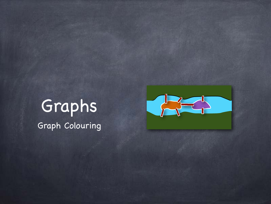## Graphs Graph Colouring

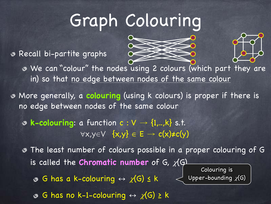## Graph Colouring

Recall bi-partite graphs





We can "colour" the nodes using 2 colours (which part they are in) so that no edge between nodes of the same colour

More generally, a **colouring** (using k colours) is proper if there is no edge between nodes of the same colour

**& k-colouring:** a function  $c : V \rightarrow \{1,..,k\}$  s.t.  $\forall x,y \in V \{x,y\} \in E \rightarrow c(x) \neq c(y)$ 

The least number of colours possible in a proper colouring of G is called the **Chromatic number** of G,  $\chi$ (G)  $\circ$  G has a k-colouring  $\leftrightarrow \chi(G) \leq k$ Colouring is Upper-bounding  $\chi(G)$ 

 $\circ$  G has no k-1-colouring  $\leftrightarrow \chi(G) \geq k$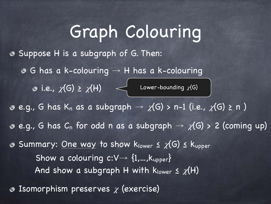## Graph Colouring Suppose H is a subgraph of G. Then:  $\circ$  G has a k-colouring  $\rightarrow$  H has a k-colouring i.e.,  $\chi(\mathsf{G}) \geq \chi(\mathsf{H}) \quad \mathord{<}\hspace{-4pt}\prec$  Lower-bounding  $\chi(\mathsf{G})$  $e.g., G$  has K<sub>n</sub> as a subgraph  $\rightarrow \chi(G)$  > n-1 (i.e.,  $\chi(G) \ge n$ ) **e.g., G** has  $C_n$  for odd n as a subgraph  $\rightarrow \chi(G)$  > 2 (coming up) Summary: One way to show  $k_{lower} \leq \chi(G) \leq k_{upper}$ Show a colouring  $c:V\rightarrow \{1,...,k_{upper}\}$ And show a subgraph H with  $k_{lower} \leq \chi(H)$ Isomorphism preserves  $\chi$  (exercise)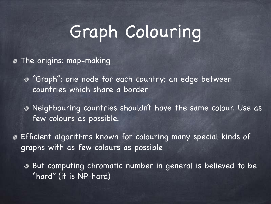## Graph Colouring

**The origins: map-making** 

"Graph": one node for each country; an edge between countries which share a border

Neighbouring countries shouldn't have the same colour. Use as few colours as possible.

Efficient algorithms known for colouring many special kinds of graphs with as few colours as possible

But computing chromatic number in general is believed to be  $\circledcirc$ "hard" (it is NP-hard)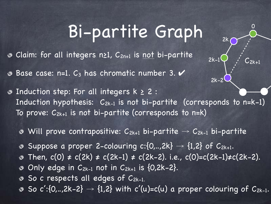## Bi-partite Graph

0

C<br>2k+1

2k

 $2k-1$ 

2k-2

Claim: for all integers n≥1, C2n+1 is not bi-partite

Base case: n=1. C<sub>3</sub> has chromatic number 3.

 $\odot$  Induction step: For all integers  $k \geq 2$ : Induction hypothesis:  $C_{2k-1}$  is not bi-partite (corresponds to n=k-1) To prove:  $C_{2k+1}$  is not bi-partite (corresponds to n=k)

• Will prove contrapositive:  $C_{2k+1}$  bi-partite  $\rightarrow C_{2k-1}$  bi-partite

- **Suppose a proper 2-colouring c:**{0,..,2k}  $\rightarrow$  {1,2} of C<sub>2k+1</sub>.
- **■** Then,  $c(0) \neq c(2k) \neq c(2k-1) \neq c(2k-2)$ . i.e.,  $c(0)=c(2k-1)\neq c(2k-2)$ .
- $\bullet$  Only edge in  $C_{2k-1}$  not in  $C_{2k+1}$  is  $\{0,2k-2\}$ .
- So c respects all edges of C2k-1.
- So  $\overline{c':} \{0,..,2k-2\} \rightarrow \{1,2\}$  with  $\overline{c'(u)} = c(u)$  a proper colouring of  $C_{2k-1}$ .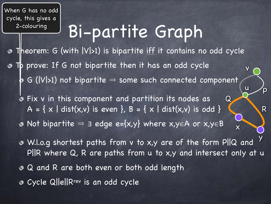When G has no odd cycle, this gives a 2-colouring

## Bi-partite Graph

**Theorem:** G (with  $|V|>1$ ) is bipartite iff it contains no odd cycle  $\n T\n b$  prove: If G not bipartite then it has an odd cycle v G ( $|V|$ >1) not bipartite  $\Rightarrow$  some such connected component u Fix v in this component and partition its nodes as  $\circledcirc$  $Q$ A = { x | dist(x,v) is even }, B = { x | dist(x,v) is odd } • Not bipartite  $\Rightarrow$   $\exists$  edge e={x,y} where x,y $\in$ A or x,y $\in$ B

W.l.o.g shortest paths from v to x,y are of the form P||Q and P||R where Q, R are paths from u to x,y and intersect only at u • Q and R are both even or both odd length Cycle Q||e||Rrev is an odd cycle y

x

 $\overline{D}$ 

R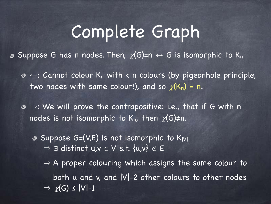## Complete Graph

• Suppose G has n nodes. Then,  $\chi(G)=n \leftrightarrow G$  is isomorphic to K<sub>n</sub>

 $\infty$  ←: Cannot colour K<sub>n</sub> with < n colours (by pigeonhole principle, two nodes with same colour!), and so  $\chi(K_n) = n$ .

→: We will prove the contrapositive: i.e., that if G with n nodes is not isomorphic to K<sub>n</sub>, then  $\chi(G)\neq n$ .

 $\bullet$  Suppose G=(V,E) is not isomorphic to K<sub>IVI</sub>  $\Rightarrow$   $\exists$  distinct  $u,v \in V$  s.t.  $\{u,v\} \notin E$ 

 $\Rightarrow$  A proper colouring which assigns the same colour to both  $u$  and  $v$ , and  $|V|-2$  other colours to other nodes  $\Rightarrow \chi(G) \le |V|-1$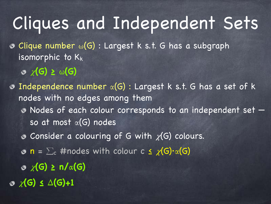## Cliques and Independent Sets

 $\odot$  Clique number  $\omega(G)$ : Largest k s.t. G has a subgraph isomorphic to  $K_k$ 

**(G) ≥ ω(G)**

 $\odot$  Independence number  $\alpha(G)$ : Largest k s.t. G has a set of k nodes with no edges among them Nodes of each colour corresponds to an independent set so at most  $\alpha(G)$  nodes  $\bullet$  Consider a colouring of G with  $\chi$ (G) colours.  $\infty$  n =  $\sum_c$  #nodes with colour c  $\leq \chi(G) \cdot \alpha(G)$ **(G) ≥ n/α(G) (G) ≤ Δ(G)+1**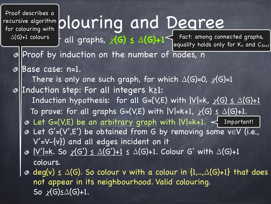Proof describes a recursive algorithm  $\mid$ for colouring with  $\Delta(G)+1$  colours

# thm plouring and Degree

+1 colours **h** all graphs,  $\chi$ (G) ≤  $\Delta$ (G)+1<sup><</sup> Fact: among connected graphs, equality holds only for  $K_n$  and  $C_{2n+1}$ 

o Proof by induction on the number of nodes, n

Base case: n=1. จ

There is only one such graph, for which  $\Delta(G)=0$ ,  $\chi(G)=1$ Induction step: For all integers k≥1: Induction hypothesis: for all G=(V,E) with  $|V|=k$ ,  $\chi(G) \leq \Delta(G)+1$ To prove: for all graphs G=(V,E) with  $|V|=k+1$ ,  $\chi(G) \leq \Delta(G)+1$ . Let G=(V,E) be an <u>arbitrary graph</u> with |V|=k+1.  $\prec$  Important! Let G'=(V',E') be obtained from G by removing some v∈V (i.e., V'=V-{v}) and all edges incident on it  $\bullet$  <u>|V'|=k</u>. So  $\chi$ (G') <u><  $\Delta$ (G')+1</u> <  $\Delta$ (G)+1. Colour G' with  $\Delta$ (G)+1 colours.

 $\infty$  deg(v)  $\leq \Delta(G)$ . So colour v with a colour in  $\{1,..,\Delta(G)+1\}$  that does not appear in its neighbourhood. Valid colouring. So  $\chi(G) \leq \Delta(G)+1$ .